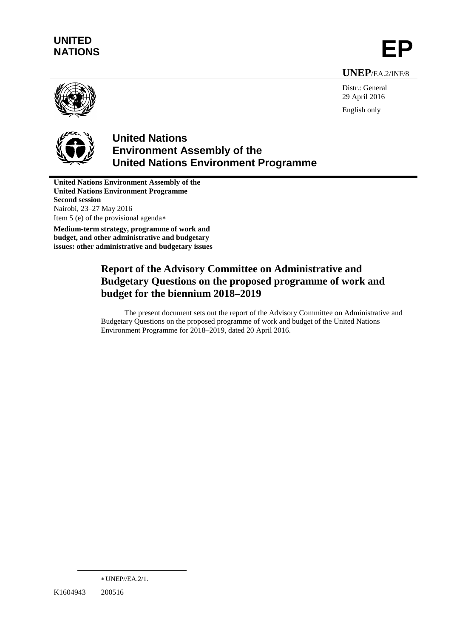# **UNITED** UNITED<br>NATIONS **EP**

**UNEP**/EA.2/INF/8



Distr.: General 29 April 2016 English only



## **United Nations Environment Assembly of the United Nations Environment Programme**

**United Nations Environment Assembly of the United Nations Environment Programme Second session** Nairobi, 23–27 May 2016 Item 5 (e) of the provisional agenda

**Medium-term strategy, programme of work and budget, and other administrative and budgetary issues: other administrative and budgetary issues**

## **Report of the Advisory Committee on Administrative and Budgetary Questions on the proposed programme of work and budget for the biennium 2018–2019**

The present document sets out the report of the Advisory Committee on Administrative and Budgetary Questions on the proposed programme of work and budget of the United Nations Environment Programme for 2018–2019, dated 20 April 2016.

 $\overline{a}$ 

UNEP//EA.2/1.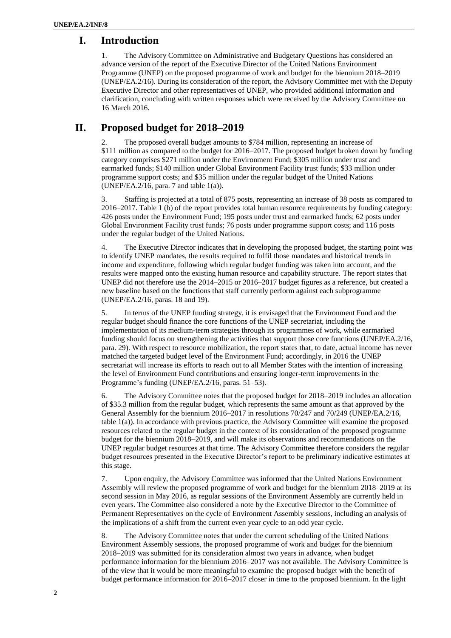#### **I. Introduction**

1. The Advisory Committee on Administrative and Budgetary Questions has considered an advance version of the report of the Executive Director of the United Nations Environment Programme (UNEP) on the proposed programme of work and budget for the biennium 2018–2019 (UNEP/EA.2/16). During its consideration of the report, the Advisory Committee met with the Deputy Executive Director and other representatives of UNEP, who provided additional information and clarification, concluding with written responses which were received by the Advisory Committee on 16 March 2016.

### **II. Proposed budget for 2018–2019**

2. The proposed overall budget amounts to \$784 million, representing an increase of \$111 million as compared to the budget for 2016–2017. The proposed budget broken down by funding category comprises \$271 million under the Environment Fund; \$305 million under trust and earmarked funds; \$140 million under Global Environment Facility trust funds; \$33 million under programme support costs; and \$35 million under the regular budget of the United Nations (UNEP/EA.2/16, para. 7 and table 1(a)).

3. Staffing is projected at a total of 875 posts, representing an increase of 38 posts as compared to 2016–2017. Table 1 (b) of the report provides total human resource requirements by funding category: 426 posts under the Environment Fund; 195 posts under trust and earmarked funds; 62 posts under Global Environment Facility trust funds; 76 posts under programme support costs; and 116 posts under the regular budget of the United Nations.

4. The Executive Director indicates that in developing the proposed budget, the starting point was to identify UNEP mandates, the results required to fulfil those mandates and historical trends in income and expenditure, following which regular budget funding was taken into account, and the results were mapped onto the existing human resource and capability structure. The report states that UNEP did not therefore use the 2014–2015 or 2016–2017 budget figures as a reference, but created a new baseline based on the functions that staff currently perform against each subprogramme (UNEP/EA.2/16, paras. 18 and 19).

5. In terms of the UNEP funding strategy, it is envisaged that the Environment Fund and the regular budget should finance the core functions of the UNEP secretariat, including the implementation of its medium-term strategies through its programmes of work, while earmarked funding should focus on strengthening the activities that support those core functions (UNEP/EA.2/16, para. 29). With respect to resource mobilization, the report states that, to date, actual income has never matched the targeted budget level of the Environment Fund; accordingly, in 2016 the UNEP secretariat will increase its efforts to reach out to all Member States with the intention of increasing the level of Environment Fund contributions and ensuring longer-term improvements in the Programme's funding (UNEP/EA.2/16, paras. 51–53).

6. The Advisory Committee notes that the proposed budget for 2018–2019 includes an allocation of \$35.3 million from the regular budget, which represents the same amount as that approved by the General Assembly for the biennium 2016–2017 in resolutions 70/247 and 70/249 (UNEP/EA.2/16, table 1(a)). In accordance with previous practice, the Advisory Committee will examine the proposed resources related to the regular budget in the context of its consideration of the proposed programme budget for the biennium 2018–2019, and will make its observations and recommendations on the UNEP regular budget resources at that time. The Advisory Committee therefore considers the regular budget resources presented in the Executive Director's report to be preliminary indicative estimates at this stage.

7. Upon enquiry, the Advisory Committee was informed that the United Nations Environment Assembly will review the proposed programme of work and budget for the biennium 2018–2019 at its second session in May 2016, as regular sessions of the Environment Assembly are currently held in even years. The Committee also considered a note by the Executive Director to the Committee of Permanent Representatives on the cycle of Environment Assembly sessions, including an analysis of the implications of a shift from the current even year cycle to an odd year cycle.

8. The Advisory Committee notes that under the current scheduling of the United Nations Environment Assembly sessions, the proposed programme of work and budget for the biennium 2018–2019 was submitted for its consideration almost two years in advance, when budget performance information for the biennium 2016–2017 was not available. The Advisory Committee is of the view that it would be more meaningful to examine the proposed budget with the benefit of budget performance information for 2016–2017 closer in time to the proposed biennium. In the light